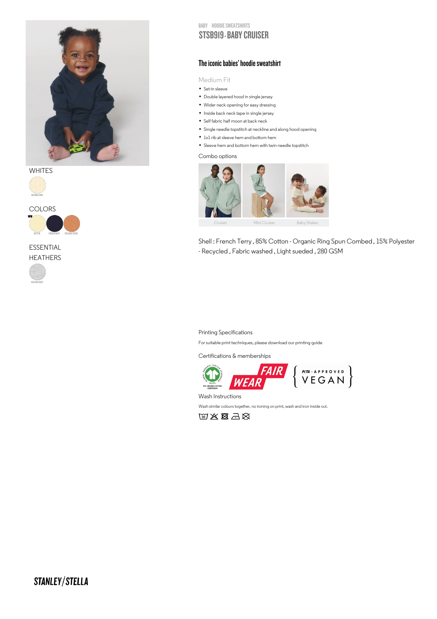

**WHITES** 





ESSENTIAL **HEATHERS** 



BABY HOODIE SWEATSHIRTS

## STSB919 - BABY CRUISER

### The iconic babies' hoodie sweatshirt

Medium Fit

- IVIed1um F<br>• Set-in sleeve
- Set-in sleeve<br>• Double layered hood in single jersey • Double layered hood in single jersey<br>• Wider neck opening for easy dressing
- Nider neck opening for easy dressine<br>• Inside back neck tape in single jersey
- Inside back neck tape in single jer<br>• Self fabric half moon at back neck
- Self fabric half moon at back neck<br>• Single needle topstitch at neckline and along hood opening
- Single needle topstitch at neckline and<br>• 1x1 rib at sleeve hem and bottom hem
- 1x1 rib at sleeve hem and bottom hem<br>• Sleeve hem and bottom hem with twin needle topstitch
- 

Combo options



Shell : French Terry , 85% Cotton - Organic Ring Spun Combed , 15% Polyester - Recycled , Fabric washed , Light sueded , 280 GSM

#### Printing Specifications

For suitable print techniques, please download our printing guide

Certifications & memberships



Wash Instructions

Wash similar colours together, no ironing on print, wash and iron inside out.

的出图云义

# STANLEY/STELLA